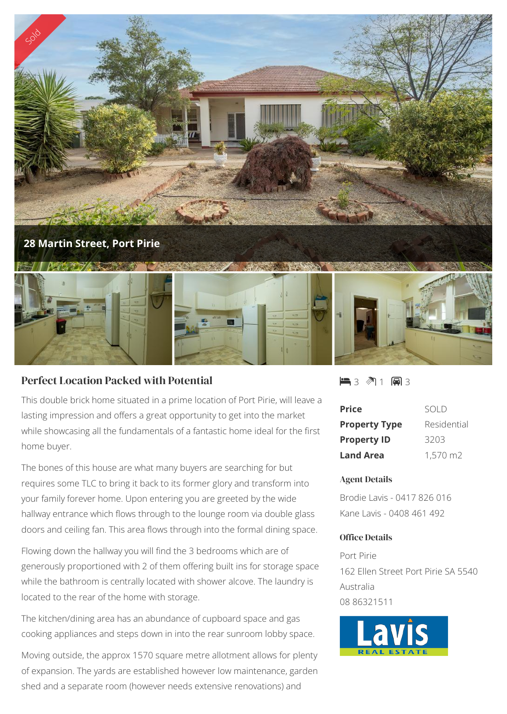

## Perfect Location Packed with Potential

This double brick home situated in a prime location of Port Pirie, will leave a lasting impression and offers a great opportunity to get into the market while showcasing all the fundamentals of a fantastic home ideal for the first home buyer.

The bones of this house are what many buyers are searching for but requires some TLC to bring it back to its former glory and transform into your family forever home. Upon entering you are greeted by the wide hallway entrance which flows through to the lounge room via double glass doors and ceiling fan. This area flows through into the formal dining space.

Flowing down the hallway you will find the 3 bedrooms which are of generously proportioned with 2 of them offering built ins for storage space while the bathroom is centrally located with shower alcove. The laundry is located to the rear of the home with storage.

The kitchen/dining area has an abundance of cupboard space and gas cooking appliances and steps down in into the rear sunroom lobby space.

Moving outside, the approx 1570 square metre allotment allows for plenty of expansion. The yards are established however low maintenance, garden shed and a separate room (however needs extensive renovations) and

 $\blacksquare$ 3  $\mathbb{M}$  1  $\blacksquare$ 3

| <b>Price</b>         | SOI D       |
|----------------------|-------------|
| <b>Property Type</b> | Residential |
| <b>Property ID</b>   | 3203        |
| <b>Land Area</b>     | 1,570 m2    |

## Agent Details

Brodie Lavis - 0417 826 016 Kane Lavis - 0408 461 492

## Office Details

Port Pirie 162 Ellen Street Port Pirie SA 5540 Australia 08 86321511